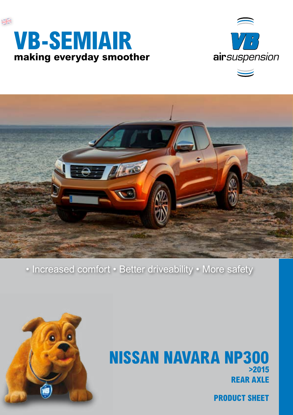





• Increased comfort • Better driveability • More safety



## **REAR AXLE NISSAN NAVARA NP300 >2015**

**PRODUCT SHEET**